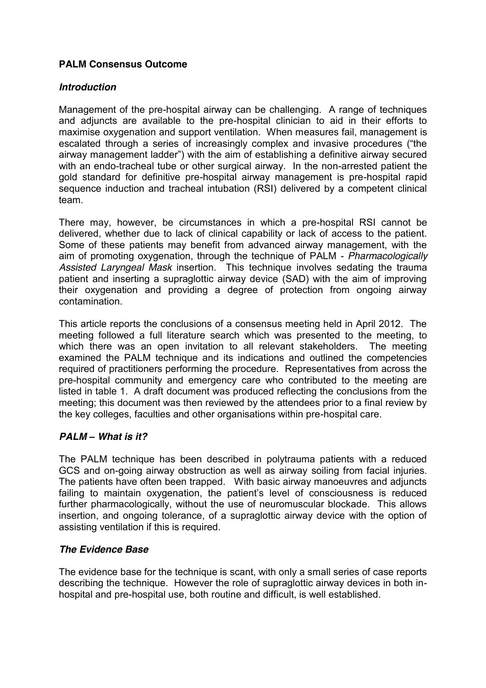# **PALM Consensus Outcome**

### *Introduction*

Management of the pre-hospital airway can be challenging. A range of techniques and adjuncts are available to the pre-hospital clinician to aid in their efforts to maximise oxygenation and support ventilation. When measures fail, management is escalated through a series of increasingly complex and invasive procedures ("the airway management ladder") with the aim of establishing a definitive airway secured with an endo-tracheal tube or other surgical airway. In the non-arrested patient the gold standard for definitive pre-hospital airway management is pre-hospital rapid sequence induction and tracheal intubation (RSI) delivered by a competent clinical team.

There may, however, be circumstances in which a pre-hospital RSI cannot be delivered, whether due to lack of clinical capability or lack of access to the patient. Some of these patients may benefit from advanced airway management, with the aim of promoting oxygenation, through the technique of PALM - *Pharmacologically Assisted Laryngeal Mask* insertion. This technique involves sedating the trauma patient and inserting a supraglottic airway device (SAD) with the aim of improving their oxygenation and providing a degree of protection from ongoing airway contamination.

This article reports the conclusions of a consensus meeting held in April 2012. The meeting followed a full literature search which was presented to the meeting, to which there was an open invitation to all relevant stakeholders. The meeting examined the PALM technique and its indications and outlined the competencies required of practitioners performing the procedure. Representatives from across the pre-hospital community and emergency care who contributed to the meeting are listed in table 1. A draft document was produced reflecting the conclusions from the meeting; this document was then reviewed by the attendees prior to a final review by the key colleges, faculties and other organisations within pre-hospital care.

# *PALM – What is it?*

The PALM technique has been described in polytrauma patients with a reduced GCS and on-going airway obstruction as well as airway soiling from facial injuries. The patients have often been trapped. With basic airway manoeuvres and adjuncts failing to maintain oxygenation, the patient's level of consciousness is reduced further pharmacologically, without the use of neuromuscular blockade. This allows insertion, and ongoing tolerance, of a supraglottic airway device with the option of assisting ventilation if this is required.

#### *The Evidence Base*

The evidence base for the technique is scant, with only a small series of case reports describing the technique. However the role of supraglottic airway devices in both inhospital and pre-hospital use, both routine and difficult, is well established.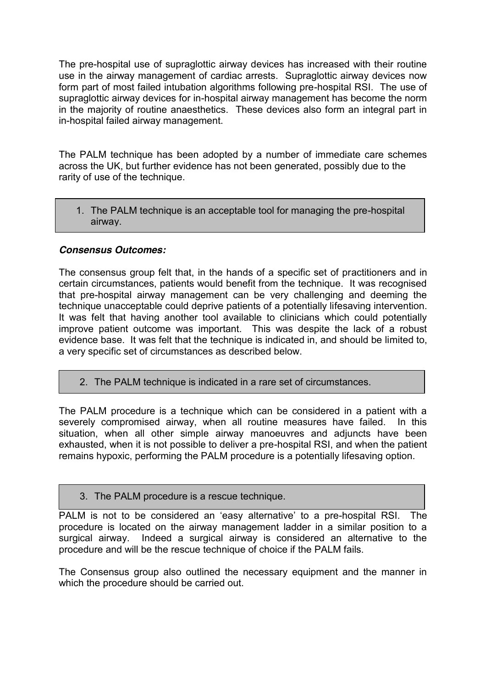The pre-hospital use of supraglottic airway devices has increased with their routine use in the airway management of cardiac arrests. Supraglottic airway devices now form part of most failed intubation algorithms following pre-hospital RSI. The use of supraglottic airway devices for in-hospital airway management has become the norm in the majority of routine anaesthetics. These devices also form an integral part in in-hospital failed airway management.

The PALM technique has been adopted by a number of immediate care schemes across the UK, but further evidence has not been generated, possibly due to the rarity of use of the technique.

1. The PALM technique is an acceptable tool for managing the pre-hospital airway.

# *Consensus Outcomes:*

The consensus group felt that, in the hands of a specific set of practitioners and in certain circumstances, patients would benefit from the technique. It was recognised that pre-hospital airway management can be very challenging and deeming the technique unacceptable could deprive patients of a potentially lifesaving intervention. It was felt that having another tool available to clinicians which could potentially improve patient outcome was important. This was despite the lack of a robust evidence base. It was felt that the technique is indicated in, and should be limited to, a very specific set of circumstances as described below.

2. The PALM technique is indicated in a rare set of circumstances.

The PALM procedure is a technique which can be considered in a patient with a severely compromised airway, when all routine measures have failed. In this situation, when all other simple airway manoeuvres and adjuncts have been exhausted, when it is not possible to deliver a pre-hospital RSI, and when the patient remains hypoxic, performing the PALM procedure is a potentially lifesaving option.

3. The PALM procedure is a rescue technique.

PALM is not to be considered an 'easy alternative' to a pre-hospital RSI. The procedure is located on the airway management ladder in a similar position to a surgical airway. Indeed a surgical airway is considered an alternative to the procedure and will be the rescue technique of choice if the PALM fails.

The Consensus group also outlined the necessary equipment and the manner in which the procedure should be carried out.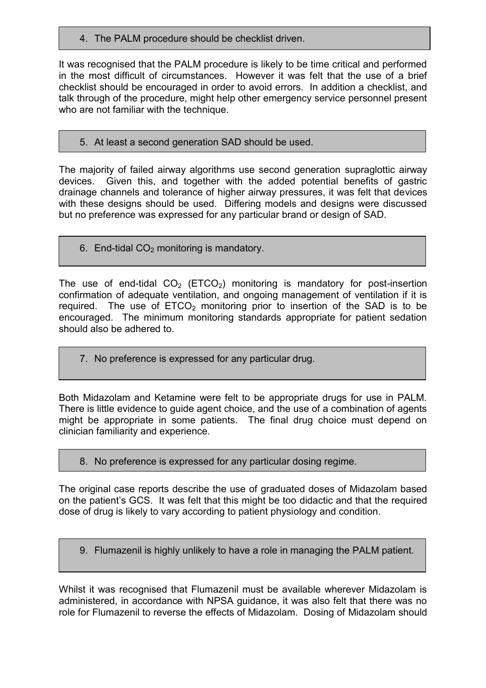4. The PALM procedure should be checklist driven.

It was recognised that the PALM procedure is likely to be time critical and performed in the most difficult of circumstances. However it was felt that the use of a brief checklist should be encouraged in order to avoid errors. In addition a checklist, and talk through of the procedure, might help other emergency service personnel present who are not familiar with the technique.

#### 5. At least a second generation SAD should be used.

The majority of failed airway algorithms use second generation supraglottic airway devices. Given this, and together with the added potential benefits of gastric drainage channels and tolerance of higher airway pressures, it was felt that devices with these designs should be used. Differing models and designs were discussed but no preference was expressed for any particular brand or design of SAD.

6. End-tidal  $CO<sub>2</sub>$  monitoring is mandatory.

The use of end-tidal  $CO<sub>2</sub>$  (ETCO<sub>2</sub>) monitoring is mandatory for post-insertion confirmation of adequate ventilation, and ongoing management of ventilation if it is required. The use of  $ETCO<sub>2</sub>$  monitoring prior to insertion of the SAD is to be encouraged. The minimum monitoring standards appropriate for patient sedation should also be adhered to.

7. No preference is expressed for any particular drug.

Both Midazolam and Ketamine were felt to be appropriate drugs for use in PALM. There is little evidence to guide agent choice, and the use of a combination of agents might be appropriate in some patients. The final drug choice must depend on clinician familiarity and experience.

#### 8. No preference is expressed for any particular dosing regime.

The original case reports describe the use of graduated doses of Midazolam based on the patient's GCS. It was felt that this might be too didactic and that the required dose of drug is likely to vary according to patient physiology and condition.

9. Flumazenil is highly unlikely to have a role in managing the PALM patient.

Whilst it was recognised that Flumazenil must be available wherever Midazolam is administered, in accordance with NPSA guidance, it was also felt that there was no role for Flumazenil to reverse the effects of Midazolam. Dosing of Midazolam should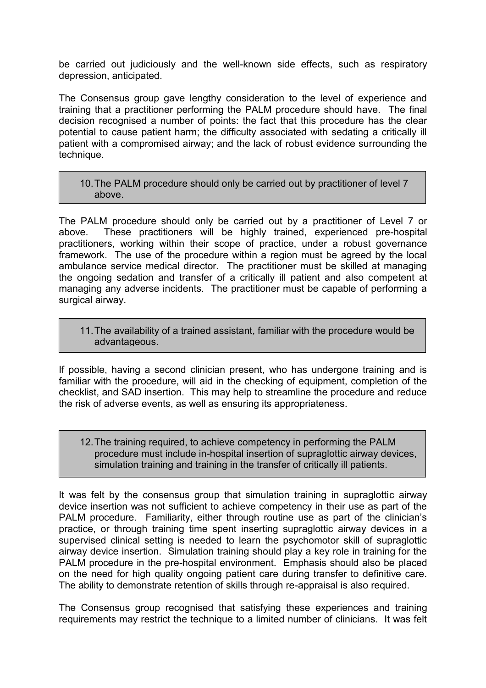be carried out judiciously and the well-known side effects, such as respiratory depression, anticipated.

The Consensus group gave lengthy consideration to the level of experience and training that a practitioner performing the PALM procedure should have. The final decision recognised a number of points: the fact that this procedure has the clear potential to cause patient harm; the difficulty associated with sedating a critically ill patient with a compromised airway; and the lack of robust evidence surrounding the technique.

10.The PALM procedure should only be carried out by practitioner of level 7 above.

The PALM procedure should only be carried out by a practitioner of Level 7 or above. These practitioners will be highly trained, experienced pre-hospital practitioners, working within their scope of practice, under a robust governance framework. The use of the procedure within a region must be agreed by the local ambulance service medical director. The practitioner must be skilled at managing the ongoing sedation and transfer of a critically ill patient and also competent at managing any adverse incidents. The practitioner must be capable of performing a surgical airway.

11.The availability of a trained assistant, familiar with the procedure would be advantageous.

If possible, having a second clinician present, who has undergone training and is familiar with the procedure, will aid in the checking of equipment, completion of the checklist, and SAD insertion. This may help to streamline the procedure and reduce the risk of adverse events, as well as ensuring its appropriateness.

12.The training required, to achieve competency in performing the PALM procedure must include in-hospital insertion of supraglottic airway devices, simulation training and training in the transfer of critically ill patients.

It was felt by the consensus group that simulation training in supraglottic airway device insertion was not sufficient to achieve competency in their use as part of the PALM procedure. Familiarity, either through routine use as part of the clinician's practice, or through training time spent inserting supraglottic airway devices in a supervised clinical setting is needed to learn the psychomotor skill of supraglottic airway device insertion. Simulation training should play a key role in training for the PALM procedure in the pre-hospital environment. Emphasis should also be placed on the need for high quality ongoing patient care during transfer to definitive care. The ability to demonstrate retention of skills through re-appraisal is also required.

The Consensus group recognised that satisfying these experiences and training requirements may restrict the technique to a limited number of clinicians. It was felt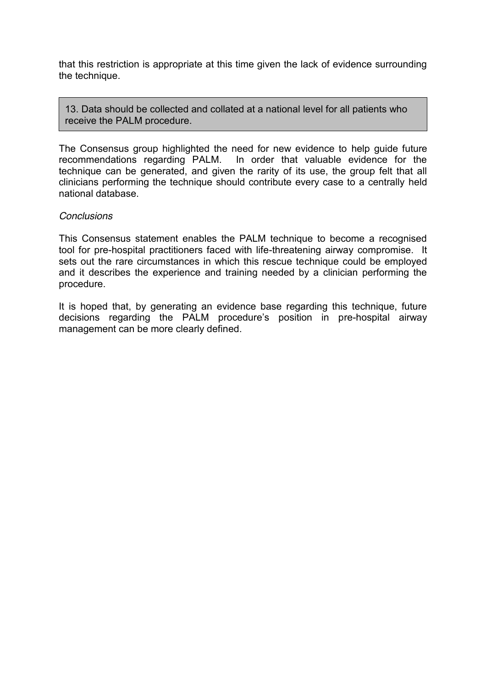that this restriction is appropriate at this time given the lack of evidence surrounding the technique.

13. Data should be collected and collated at a national level for all patients who receive the PALM procedure.

The Consensus group highlighted the need for new evidence to help guide future recommendations regarding PALM. In order that valuable evidence for the In order that valuable evidence for the technique can be generated, and given the rarity of its use, the group felt that all clinicians performing the technique should contribute every case to a centrally held national database.

#### *Conclusions*

This Consensus statement enables the PALM technique to become a recognised tool for pre-hospital practitioners faced with life-threatening airway compromise. It sets out the rare circumstances in which this rescue technique could be employed and it describes the experience and training needed by a clinician performing the procedure.

It is hoped that, by generating an evidence base regarding this technique, future decisions regarding the PALM procedure's position in pre-hospital airway management can be more clearly defined.